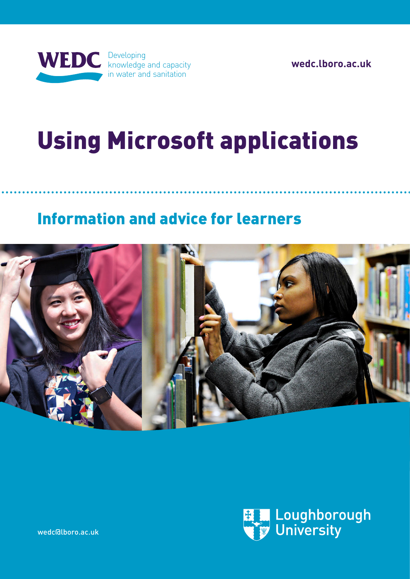

**[wedc.lboro.ac.uk](http://wedc.lboro.ac.uk)**

# Using Microsoft applications

# Information and advice for learners





[wedc@lboro.ac.uk](mailto:wedc.distl%40lboro.ac.uk?subject=Distance%20learning%20enquiry)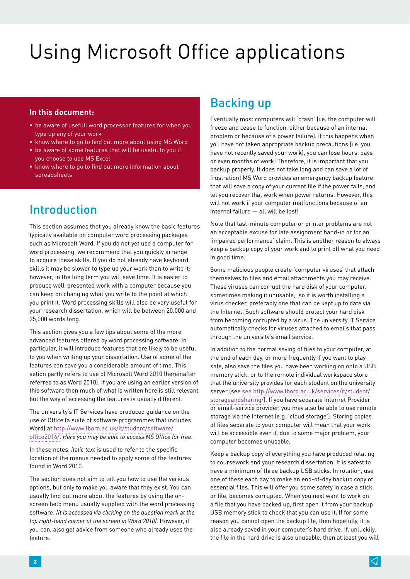#### **In this document:**

- be aware of usefull word processor features for when you type up any of your work
- know where to go to find out more about using MS Word
- be aware of some features that will be useful to you if you choose to use MS Excel
- know where to go to find out more information about spreadsheets

# Introduction

This section assumes that you already know the basic features typically available on computer word processing packages such as Microsoft Word. If you do not yet use a computer for word processing, we recommend that you quickly arrange to acquire these skills. If you do not already have keyboard skills it may be slower to type up your work than to write it; however, in the long term you will save time. It is easier to produce well-presented work with a computer because you can keep on changing what you write to the point at which you print it. Word processing skills will also be very useful for your research dissertation, which will be between 20,000 and 25,000 words long.

This section gives you a few tips about some of the more advanced features offered by word processing software. In particular, it will introduce features that are likely to be useful to you when writing up your dissertation. Use of some of the features can save you a considerable amount of time. This setion partly refers to use of Microsoft Word 2010 (hereinafter referred to as Word 2010). If you are using an earlier version of this software then much of what is written here is still relevant but the way of accessing the features is usually different.

The university's IT Services have produced guidance on the use of Office (a suite of software programmes that includes Word) at [http://www.lboro.ac.uk/it/student/software/](http://www.lboro.ac.uk/it/student/software/office2016/) [office2016/.](http://www.lboro.ac.uk/it/student/software/office2016/) *Here you may be able to access MS Office for free.*

In these notes, *italic text* is used to refer to the specific location of the menus needed to apply some of the features found in Word 2010.

The section does not aim to tell you how to use the various options, but only to make you aware that they exist. You can usually find out more about the features by using the onscreen help menu usually supplied with the word processing software. *(It is accessed via clicking on the question mark at the top right-hand corner of the screen in Word 2010).* However, if you can, also get advice from someone who already uses the feature.

# Backing up

Eventually most computers will 'crash' (i.e. the computer will freeze and cease to function, either because of an internal problem or because of a power failure). If this happens when you have not taken appropriate backup precautions (i.e. you have not recently saved your work), you can lose hours, days or even months of work! Therefore, it is important that you backup properly. It does not take long and can save a lot of frustration! MS Word provides an emergency backup feature that will save a copy of your current file if the power fails, and let you recover that work when power returns. However, this will not work if your computer malfunctions because of an internal failure — all will be lost!

Note that last-minute computer or printer problems are not an acceptable excuse for late assignment hand-in or for an 'impaired performance' claim. This is another reason to always keep a backup copy of your work and to print off what you need in good time.

Some malicious people create 'computer viruses' that attach themselves to files and email attachments you may receive. These viruses can corrupt the hard disk of your computer, sometimes making it unusable; so it is worth installing a virus checker, preferably one that can be kept up to date via the Internet. Such software should protect your hard disk from becoming corrupted by a virus. The university IT Service automatically checks for viruses attached to emails that pass through the university's email service.

In addition to the normal saving of files to your computer, at the end of each day, or more frequently if you want to play safe, also save the files you have been working on onto a USB memory stick, or to the remote individual workspace store that the university provides for each student on the university server (see see [http://www.lboro.ac.uk/services/it/student/](http://www.lboro.ac.uk/services/it/student/storageandsharing/) [storageandsharing/\)](http://www.lboro.ac.uk/services/it/student/storageandsharing/). If you have separate Internet Provider or email-service provider, you may also be able to use remote storage via the Internet (e.g. 'cloud storage'). Storing copies of files separate to your computer will mean that your work will be accessible even if, due to some major problem, your computer becomes unusable.

Keep a backup copy of everything you have produced relating to coursework and your research dissertation. It is safest to have a minimum of three backup USB sticks. In rotation, use one of these each day to make an end-of-day backup copy of essential files. This will offer you some safety in case a stick, or file, becomes corrupted. When you next want to work on a file that you have backed up, first open it from your backup USB memory stick to check that you can use it. If for some reason you cannot open the backup file, then hopefully, it is also already saved in your computer's hard drive. If, unluckily, the file in the hard drive is also unusable, then at least you will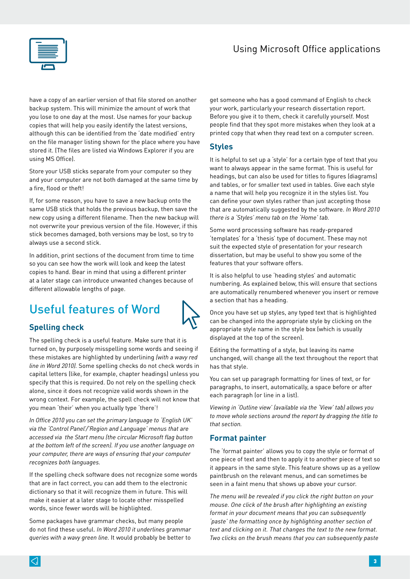

have a copy of an earlier version of that file stored on another backup system. This will minimize the amount of work that you lose to one day at the most. Use names for your backup copies that will help you easily identify the latest versions, although this can be identified from the 'date modified' entry on the file manager listing shown for the place where you have stored it. (The files are listed via Windows Explorer if you are using MS Office).

Store your USB sticks separate from your computer so they and your computer are not both damaged at the same time by a fire, flood or theft!

If, for some reason, you have to save a new backup onto the same USB stick that holds the previous backup, then save the new copy using a different filename. Then the new backup will not overwrite your previous version of the file. However, if this stick becomes damaged, both versions may be lost, so try to always use a second stick.

In addition, print sections of the document from time to time so you can see how the work will look and keep the latest copies to hand. Bear in mind that using a different printer at a later stage can introduce unwanted changes because of different allowable lengths of page.

# Useful features of Word

#### **Spelling check**

The spelling check is a useful feature. Make sure that it is turned on, by purposely misspelling some words and seeing if these mistakes are highlighted by underlining *(with a wavy red line in Word 2010).* Some spelling checks do not check words in capital letters (like, for example, chapter headings) unless you specify that this is required. Do not rely on the spelling check alone, since it does not recognize valid words shown in the wrong context. For example, the spell check will not know that you mean 'their' when you actually type 'there'!

*In Office 2010 you can set the primary language to 'English UK' via the 'Control Panel'/'Region and Language' menus that are accessed via the Start menu (the circular Microsoft flag button at the bottom left of the screen). If you use another language on your computer, there are ways of ensuring that your computer recognizes both languages.* 

If the spelling check software does not recognize some words that are in fact correct, you can add them to the electronic dictionary so that it will recognize them in future. This will make it easier at a later stage to locate other misspelled words, since fewer words will be highlighted.

Some packages have grammar checks, but many people do not find these useful. *In Word 2010 it underlines grammar queries with a wavy green line.* It would probably be better to

get someone who has a good command of English to check your work, particularly your research dissertation report. Before you give it to them, check it carefully yourself. Most people find that they spot more mistakes when they look at a printed copy that when they read text on a computer screen.

#### **Styles**

It is helpful to set up a 'style' for a certain type of text that you want to always appear in the same format. This is useful for headings, but can also be used for titles to figures (diagrams) and tables, or for smaller text used in tables. Give each style a name that will help you recognize it in the styles list. You can define your own styles rather than just accepting those that are automatically suggested by the software. *In Word 2010 there is a 'Styles' menu tab on the 'Home' tab.*

Some word processing software has ready-prepared 'templates' for a 'thesis' type of document. These may not suit the expected style of presentation for your research dissertation, but may be useful to show you some of the features that your software offers.

It is also helpful to use 'heading styles' and automatic numbering. As explained below, this will ensure that sections are automatically renumbered whenever you insert or remove a section that has a heading.

Once you have set up styles, any typed text that is highlighted can be changed into the appropriate style by clicking on the appropriate style name in the style box (which is usually displayed at the top of the screen).

Editing the formatting of a style, but leaving its name unchanged, will change all the text throughout the report that has that style.

You can set up paragraph formatting for lines of text, or for paragraphs, to insert, automatically, a space before or after each paragraph (or line in a list).

*Viewing in 'Outline view' (available via the 'View' tab) allows you to move whole sections around the report by dragging the title to that section.*

#### **Format painter**

The 'format painter' allows you to copy the style or format of one piece of text and then to apply it to another piece of text so it appears in the same style. This feature shows up as a yellow paintbrush on the relevant menus, and can sometimes be seen in a faint menu that shows up above your cursor.

*The menu will be revealed if you click the right button on your mouse. One click of the brush after highlighting an existing format in your document means that you can subsequently 'paste' the formatting once by highlighting another section of text and clicking on it. That changes the text to the new format. Two clicks on the brush means that you can subsequently paste* 

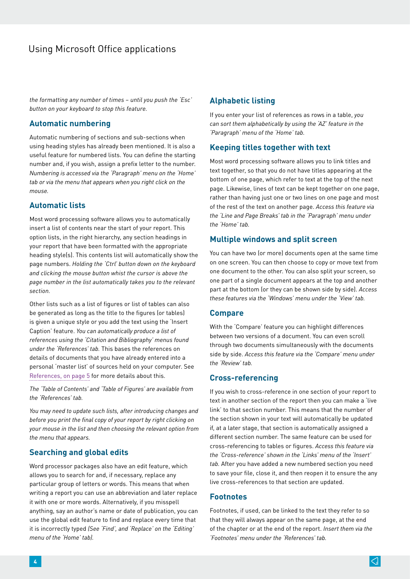*the formatting any number of times – until you push the 'Esc' button on your keyboard to stop this feature.*

#### **Automatic numbering**

Automatic numbering of sections and sub-sections when using heading styles has already been mentioned. It is also a useful feature for numbered lists. You can define the starting number and, if you wish, assign a prefix letter to the number. *Numbering is accessed via the 'Paragraph' menu on the 'Home' tab or via the menu that appears when you right click on the mouse.*

#### **Automatic lists**

Most word processing software allows you to automatically insert a list of contents near the start of your report. This option lists, in the right hierarchy, any section headings in your report that have been formatted with the appropriate heading style(s). This contents list will automatically show the page numbers. *Holding the 'Ctrl' button down on the keyboard and clicking the mouse button whist the cursor is above the page number in the list automatically takes you to the relevant section.*

Other lists such as a list of figures or list of tables can also be generated as long as the title to the figures (or tables) is given a unique style or you add the text using the 'Insert Caption' feature. *You can automatically produce a list of references using the 'Citation and Bibliography' menus found under the 'References' tab.* This bases the references on details of documents that you have already entered into a personal 'master list' of sources held on your computer. See [References, on page 5](#page-4-0) for more details about this.

*The 'Table of Contents' and 'Table of Figures' are available from the 'References' tab.* 

*You may need to update such lists, after introducing changes and before you print the final copy of your report by right clicking on your mouse in the list and then choosing the relevant option from the menu that appears.*

#### **Searching and global edits**

Word processor packages also have an edit feature, which allows you to search for and, if necessary, replace any particular group of letters or words. This means that when writing a report you can use an abbreviation and later replace it with one or more words. Alternatively, if you misspell anything, say an author's name or date of publication, you can use the global edit feature to find and replace every time that it is incorrectly typed *(See 'Find', and 'Replace' on the 'Editing' menu of the 'Home' tab).*

#### **Alphabetic listing**

If you enter your list of references as rows in a table, *you can sort them alphabetically by using the 'AZ' feature in the 'Paragraph' menu of the 'Home' tab.* 

#### **Keeping titles together with text**

Most word processing software allows you to link titles and text together, so that you do not have titles appearing at the bottom of one page, which refer to text at the top of the next page. Likewise, lines of text can be kept together on one page, rather than having just one or two lines on one page and most of the rest of the text on another page. *Access this feature via the 'Line and Page Breaks' tab in the 'Paragraph' menu under the 'Home' tab.*

#### **Multiple windows and split screen**

You can have two (or more) documents open at the same time on one screen. You can then choose to copy or move text from one document to the other. You can also split your screen, so one part of a single document appears at the top and another part at the bottom (or they can be shown side by side). *Access these features via the 'Windows' menu under the 'View' tab.*

#### **Compare**

With the 'Compare' feature you can highlight differences between two versions of a document. You can even scroll through two documents simultaneously with the documents side by side. *Access this feature via the 'Compare' menu under the 'Review' tab.*

#### **Cross-referencing**

If you wish to cross-reference in one section of your report to text in another section of the report then you can make a 'live link' to that section number. This means that the number of the section shown in your text will automatically be updated if, at a later stage, that section is automatically assigned a different section number. The same feature can be used for cross-referencing to tables or figures. *Access this feature via the 'Cross-reference' shown in the 'Links' menu of the 'Insert' tab.* After you have added a new numbered section you need to save your file, close it, and then reopen it to ensure the any live cross-references to that section are updated.

#### **Footnotes**

Footnotes, if used, can be linked to the text they refer to so that they will always appear on the same page, at the end of the chapter or at the end of the report. *Insert them via the 'Footnotes' menu under the 'References' tab.*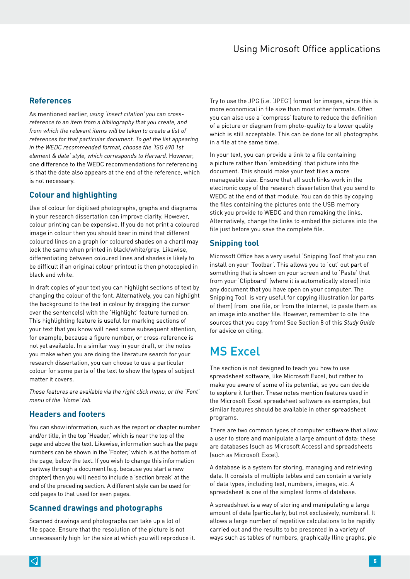#### <span id="page-4-0"></span>**References**

As mentioned earlier, *using 'Insert citation' you can crossreference to an item from a bibliography that you create, and from which the relevant items will be taken to create a list of references for that particular document. To get the list appearing in the WEDC recommended format, choose the 'ISO 690 1st element & date' style, which corresponds to Harvard.* However, one difference to the WEDC recommendations for referencing is that the date also appears at the end of the reference, which is not necessary.

#### **Colour and highlighting**

Use of colour for digitised photographs, graphs and diagrams in your research dissertation can improve clarity. However, colour printing can be expensive. If you do not print a coloured image in colour then you should bear in mind that different coloured lines on a graph (or coloured shades on a chart) may look the same when printed in black/white/grey. Likewise, differentiating between coloured lines and shades is likely to be difficult if an original colour printout is then photocopied in black and white.

In draft copies of your text you can highlight sections of text by changing the colour of the font. Alternatively, you can highlight the background to the text in colour by dragging the cursor over the sentence(s) with the 'Highlight' feature turned on. This highlighting feature is useful for marking sections of your text that you know will need some subsequent attention, for example, because a figure number, or cross-reference is not yet available. In a similar way in your draft, or the notes you make when you are doing the literature search for your research dissertation, you can choose to use a particular colour for some parts of the text to show the types of subject matter it covers.

*These features are available via the right click menu, or the 'Font' menu of the 'Home' tab.*

#### **Headers and footers**

You can show information, such as the report or chapter number and/or title, in the top 'Header,' which is near the top of the page and above the text. Likewise, information such as the page numbers can be shown in the 'Footer,' which is at the bottom of the page, below the text. If you wish to change this information partway through a document (e.g. because you start a new chapter) then you will need to include a 'section break' at the end of the preceding section. A different style can be used for odd pages to that used for even pages.

#### **Scanned drawings and photographs**

Scanned drawings and photographs can take up a lot of file space. Ensure that the resolution of the picture is not unnecessarily high for the size at which you will reproduce it. Try to use the JPG (i.e. 'JPEG') format for images, since this is more economical in file size than most other formats. Often you can also use a 'compress' feature to reduce the definition of a picture or diagram from photo-quality to a lower quality which is still acceptable. This can be done for all photographs in a file at the same time.

In your text, you can provide a link to a file containing a picture rather than 'embedding' that picture into the document. This should make your text files a more manageable size. Ensure that all such links work in the electronic copy of the research dissertation that you send to WEDC at the end of that module. You can do this by copying the files containing the pictures onto the USB memory stick you provide to WEDC and then remaking the links. Alternatively, change the links to embed the pictures into the file just before you save the complete file.

#### **Snipping tool**

Microsoft Office has a very useful 'Snipping Tool' that you can install on your 'Toolbar'. This allows you to 'cut' out part of something that is shown on your screen and to 'Paste' that from your 'Clipboard' (where it is automatically stored) into any document that you have open on your computer. The Snipping Tool is very useful for copying illustration (or parts of them) from one file, or from the Internet, to paste them as an image into another file. However, remember to cite the sources that you copy from! See Section 8 of this *Study Guide* for advice on citing.

## MS Excel

The section is not designed to teach you how to use spreadsheet software, like Microsoft Excel, but rather to make you aware of some of its potential, so you can decide to explore it further. These notes mention features used in the Microsoft Excel spreadsheet software as examples, but similar features should be available in other spreadsheet programs.

There are two common types of computer software that allow a user to store and manipulate a large amount of data: these are databases (such as Microsoft Access) and spreadsheets (such as Microsoft Excel).

A database is a system for storing, managing and retrieving data. It consists of multiple tables and can contain a variety of data types, including text, numbers, images, etc. A spreadsheet is one of the simplest forms of database.

A spreadsheet is a way of storing and manipulating a large amount of data (particularly, but not exclusively, numbers). It allows a large number of repetitive calculations to be rapidly carried out and the results to be presented in a variety of ways such as tables of numbers, graphically (line graphs, pie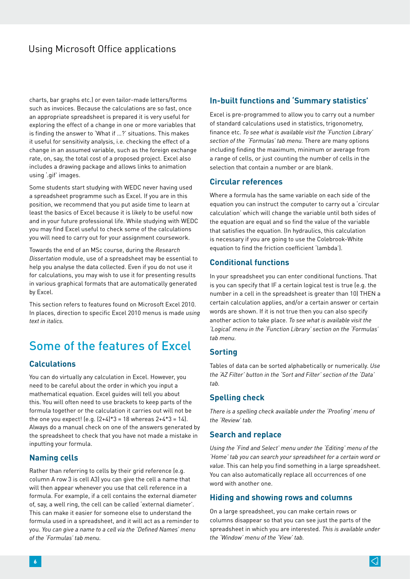charts, bar graphs etc.) or even tailor-made letters/forms such as invoices. Because the calculations are so fast, once an appropriate spreadsheet is prepared it is very useful for exploring the effect of a change in one or more variables that is finding the answer to 'What if …?' situations. This makes it useful for sensitivity analysis, i.e. checking the effect of a change in an assumed variable, such as the foreign exchange rate, on, say, the total cost of a proposed project. Excel also includes a drawing package and allows links to animation using '.gif' images.

Some students start studying with WEDC never having used a spreadsheet programme such as Excel. If you are in this position, we recommend that you put aside time to learn at least the basics of Excel because it is likely to be useful now and in your future professional life. While studying with WEDC you may find Excel useful to check some of the calculations you will need to carry out for your assignment coursework.

Towards the end of an MSc course, during the *Research Dissertation* module, use of a spreadsheet may be essential to help you analyse the data collected. Even if you do not use it for calculations, you may wish to use it for presenting results in various graphical formats that are automatically generated by Excel.

This section refers to features found on Microsoft Excel 2010. In places, direction to specific Excel 2010 menus is made *using text in italics.* 

# Some of the features of Excel

#### **Calculations**

You can do virtually any calculation in Excel. However, you need to be careful about the order in which you input a mathematical equation. Excel guides will tell you about this. You will often need to use brackets to keep parts of the formula together or the calculation it carries out will not be the one you expect!  $[e.q. [2+4]*3 = 18$  whereas  $2+4*3 = 14$ . Always do a manual check on one of the answers generated by the spreadsheet to check that you have not made a mistake in inputting your formula.

#### **Naming cells**

Rather than referring to cells by their grid reference (e.g. column A row 3 is cell A3) you can give the cell a name that will then appear whenever you use that cell reference in a formula. For example, if a cell contains the external diameter of, say, a well ring, the cell can be called 'external diameter'. This can make it easier for someone else to understand the formula used in a spreadsheet, and it will act as a reminder to you. *You can give a name to a cell via the 'Defined Names' menu of the 'Formulas' tab menu.*

#### **In-built functions and 'Summary statistics'**

Excel is pre-programmed to allow you to carry out a number of standard calculations used in statistics, trigonometry, finance etc. *To see what is available visit the 'Function Library' section of the 'Formulas' tab menu.* There are many options including finding the maximum, minimum or average from a range of cells, or just counting the number of cells in the selection that contain a number or are blank.

#### **Circular references**

Where a formula has the same variable on each side of the equation you can instruct the computer to carry out a 'circular calculation' which will change the variable until both sides of the equation are equal and so find the value of the variable that satisfies the equation. (In hydraulics, this calculation is necessary if you are going to use the Colebrook-White equation to find the friction coefficient 'lambda').

#### **Conditional functions**

In your spreadsheet you can enter conditional functions. That is you can specify that IF a certain logical test is true (e.g. the number in a cell in the spreadsheet is greater than 10) THEN a certain calculation applies, and/or a certain answer or certain words are shown. If it is not true then you can also specify another action to take place. *To see what is available visit the 'Logical' menu in the 'Function Library' section on the 'Formulas' tab menu.*

#### **Sorting**

Tables of data can be sorted alphabetically or numerically. *Use the 'AZ Filter' button in the 'Sort and Filter' section of the 'Data' tab.*

#### **Spelling check**

*There is a spelling check available under the 'Proofing' menu of the 'Review' tab.*

#### **Search and replace**

*Using the 'Find and Select' menu under the 'Editing' menu of the 'Home' tab you can search your spreadsheet for a certain word or value.* This can help you find something in a large spreadsheet. You can also automatically replace all occurrences of one word with another one.

#### **Hiding and showing rows and columns**

On a large spreadsheet, you can make certain rows or columns disappear so that you can see just the parts of the spreadsheet in which you are interested. *This is available under the 'Window' menu of the 'View' tab.*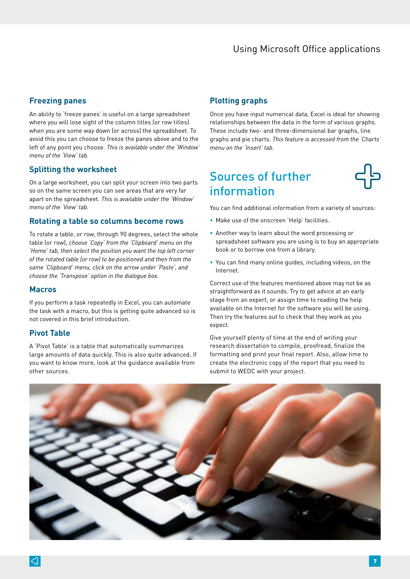#### **Freezing panes**

An ability to 'freeze panes' is useful on a large spreadsheet where you will lose sight of the column titles (or row titles) when you are some way down (or across) the spreadsheet. To avoid this you can choose to freeze the panes above and to the left of any point you choose. *This is available under the 'Window' menu of the 'View' tab.*

#### **Splitting the worksheet**

On a large worksheet, you can split your screen into two parts so on the same screen you can see areas that are very far apart on the spreadsheet. *This is available under the 'Window' menu of the 'View' tab.*

#### **Rotating a table so columns become rows**

To rotate a table, or row, through 90 degrees, select the whole table (or row), *choose 'Copy' from the 'Clipboard' menu on the 'Home' tab, then select the position you want the top left corner of the rotated table (or row) to be positioned and then from the same 'Clipboard' menu, click on the arrow under 'Paste', and choose the 'Transpose' option in the dialogue box.*

#### **Macros**

If you perform a task repeatedly in Excel, you can automate the task with a macro, but this is getting quite advanced so is not covered in this brief introduction.

#### **Pivot Table**

A 'Pivot Table' is a table that automatically summarizes large amounts of data quickly. This is also quite advanced. If you want to know more, look at the guidance available from other sources.

#### **Plotting graphs**

Once you have input numerical data, Excel is ideal for showing relationships between the data in the form of various graphs. These include two- and three-dimensional bar graphs, line graphs and pie charts. *This feature is accessed from the 'Charts' menu on the 'Insert' tab.*

## Sources of further information



You can find additional information from a variety of sources:

- Make use of the onscreen 'Help' facilities.
- Another way to learn about the word processing or spreadsheet software you are using is to buy an appropriate book or to borrow one from a library.
- You can find many online guides, including videos, on the Internet.

Correct use of the features mentioned above may not be as straightforward as it sounds. Try to get advice at an early stage from an expert, or assign time to reading the help available on the Internet for the software you will be using. Then try the features out to check that they work as you expect.

Give yourself plenty of time at the end of writing your research dissertation to compile, proofread, finalize the formatting and print your final report. Also, allow time to create the electronic copy of the report that you need to submit to WEDC with your project.